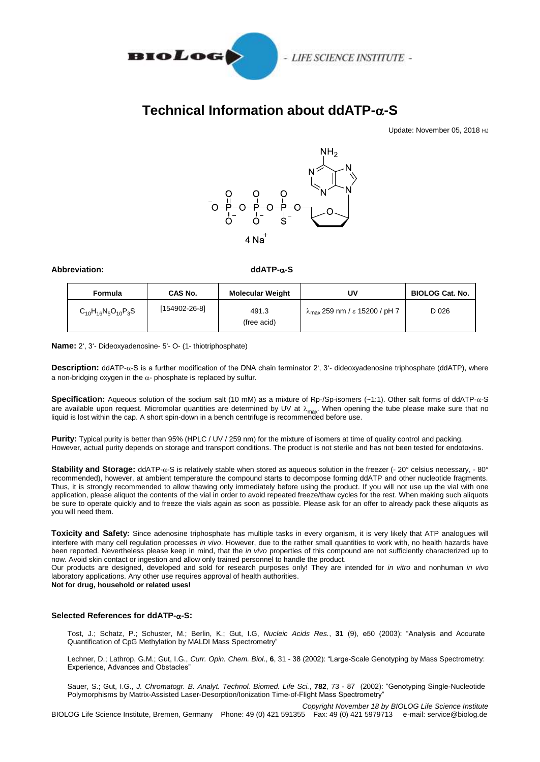

## **Technical Information about ddATP--S**

Update: November 05, 2018 HJ



## **Abbreviation: ddATP--S**

| Formula                     | CAS No.       | <b>Molecular Weight</b> | UV                                             | <b>BIOLOG Cat. No.</b> |
|-----------------------------|---------------|-------------------------|------------------------------------------------|------------------------|
| $C_{10}H_{16}N_5O_{10}P_3S$ | [154902-26-8] | 491.3<br>(free acid)    | $\lambda_{\text{max}}$ 259 nm / ε 15200 / pH 7 | D 026                  |

**Name:** 2', 3'- Dideoxyadenosine- 5'- O- (1- thiotriphosphate)

**Description:** ddATP-α-S is a further modification of the DNA chain terminator 2', 3'- dideoxyadenosine triphosphate (ddATP), where a non-bridging oxygen in the  $\alpha$ - phosphate is replaced by sulfur.

Specification: Aqueous solution of the sodium salt (10 mM) as a mixture of Rp-/Sp-isomers (~1:1). Other salt forms of ddATP- $\alpha$ -S are available upon request. Micromolar quantities are determined by UV at  $\lambda_{\rm max}$ . When opening the tube please make sure that no<br>liquid is lost within the cap. A short spin-down in a bench centrifuge is recommended befo

**Purity:** Typical purity is better than 95% (HPLC / UV / 259 nm) for the mixture of isomers at time of quality control and packing. However, actual purity depends on storage and transport conditions. The product is not sterile and has not been tested for endotoxins.

Stability and Storage: ddATP- $\alpha$ -S is relatively stable when stored as aqueous solution in the freezer (- 20° celsius necessary, - 80° recommended), however, at ambient temperature the compound starts to decompose forming ddATP and other nucleotide fragments. Thus, it is strongly recommended to allow thawing only immediately before using the product. If you will not use up the vial with one application, please aliquot the contents of the vial in order to avoid repeated freeze/thaw cycles for the rest. When making such aliquots be sure to operate quickly and to freeze the vials again as soon as possible. Please ask for an offer to already pack these aliquots as you will need them.

**Toxicity and Safety:** Since adenosine triphosphate has multiple tasks in every organism, it is very likely that ATP analogues will interfere with many cell regulation processes *in vivo*. However, due to the rather small quantities to work with, no health hazards have been reported. Nevertheless please keep in mind, that the *in vivo* properties of this compound are not sufficiently characterized up to now. Avoid skin contact or ingestion and allow only trained personnel to handle the product.

Our products are designed, developed and sold for research purposes only! They are intended for *in vitro* and nonhuman *in vivo* laboratory applications. Any other use requires approval of health authorities.

**Not for drug, household or related uses!**

## **Selected References for ddATP--S:**

Tost, J.; Schatz, P.; Schuster, M.; Berlin, K.; Gut, I.G, *Nucleic Acids Res.*, **31** (9), e50 (2003): "Analysis and Accurate Quantification of CpG Methylation by MALDI Mass Spectrometry"

Lechner, D.; Lathrop, G.M.; Gut, I.G., *Curr. Opin. Chem. Biol*., **6**, 31 - 38 (2002): "Large-Scale Genotyping by Mass Spectrometry: Experience, Advances and Obstacles"

Sauer, S.; Gut, I.G., *J. Chromatogr. B. Analyt. Technol. Biomed. Life Sci.*, **782**, 73 - 87 (2002): "Genotyping Single-Nucleotide Polymorphisms by Matrix-Assisted Laser-Desorption/Ionization Time-of-Flight Mass Spectrometry"

*Copyright November 18 by BIOLOG Life Science Institute* BIOLOG Life Science Institute, Bremen, Germany Phone: 49 (0) 421 591355 Fax: 49 (0) 421 5979713 e-mail: service@biolog.de